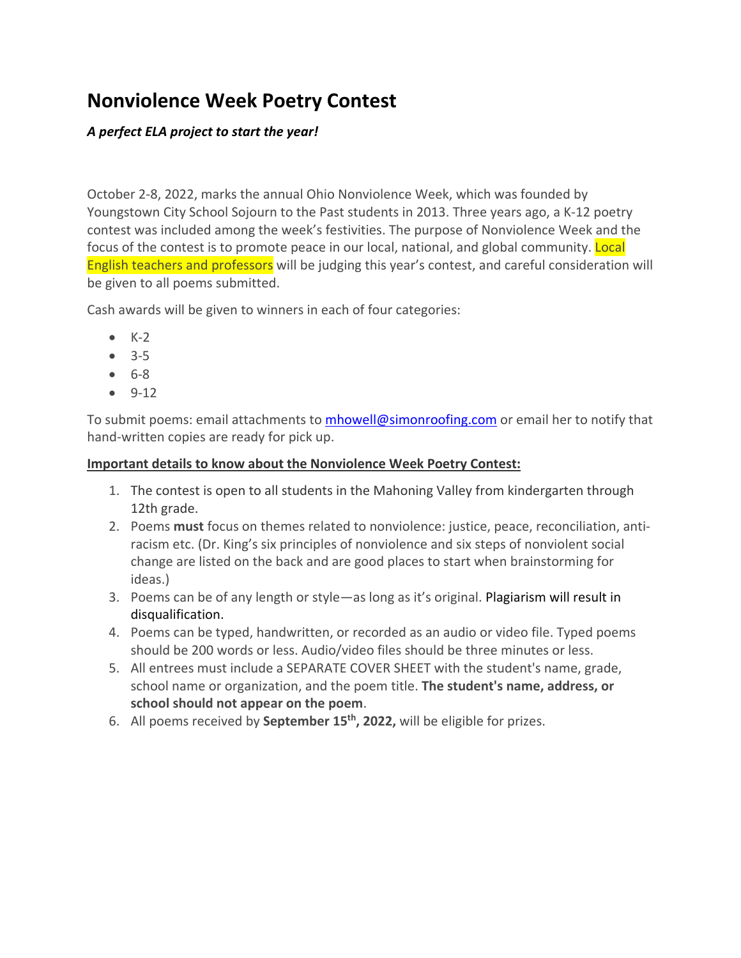# **Nonviolence Week Poetry Contest**

## *A perfect ELA project to start the year!*

October 2-8, 2022, marks the annual Ohio Nonviolence Week, which was founded by Youngstown City School Sojourn to the Past students in 2013. Three years ago, a K-12 poetry contest was included among the week's festivities. The purpose of Nonviolence Week and the focus of the contest is to promote peace in our local, national, and global community. Local English teachers and professors will be judging this year's contest, and careful consideration will be given to all poems submitted.

Cash awards will be given to winners in each of four categories:

- $\bullet$  K-2
- 3-5
- 6-8
- 9-12

To submit poems: email attachments to [mhowell@simonroofing.com](mailto:mhowell@simonroofing.com) or email her to notify that hand-written copies are ready for pick up.

### **Important details to know about the Nonviolence Week Poetry Contest:**

- 1. The contest is open to all students in the Mahoning Valley from kindergarten through 12th grade.
- 2. Poems **must** focus on themes related to nonviolence: justice, peace, reconciliation, antiracism etc. (Dr. King's six principles of nonviolence and six steps of nonviolent social change are listed on the back and are good places to start when brainstorming for ideas.)
- 3. Poems can be of any length or style—as long as it's original. Plagiarism will result in disqualification.
- 4. Poems can be typed, handwritten, or recorded as an audio or video file. Typed poems should be 200 words or less. Audio/video files should be three minutes or less.
- 5. All entrees must include a SEPARATE COVER SHEET with the student's name, grade, school name or organization, and the poem title. **The student's name, address, or school should not appear on the poem**.
- 6. All poems received by **September 15th, 2022,** will be eligible for prizes.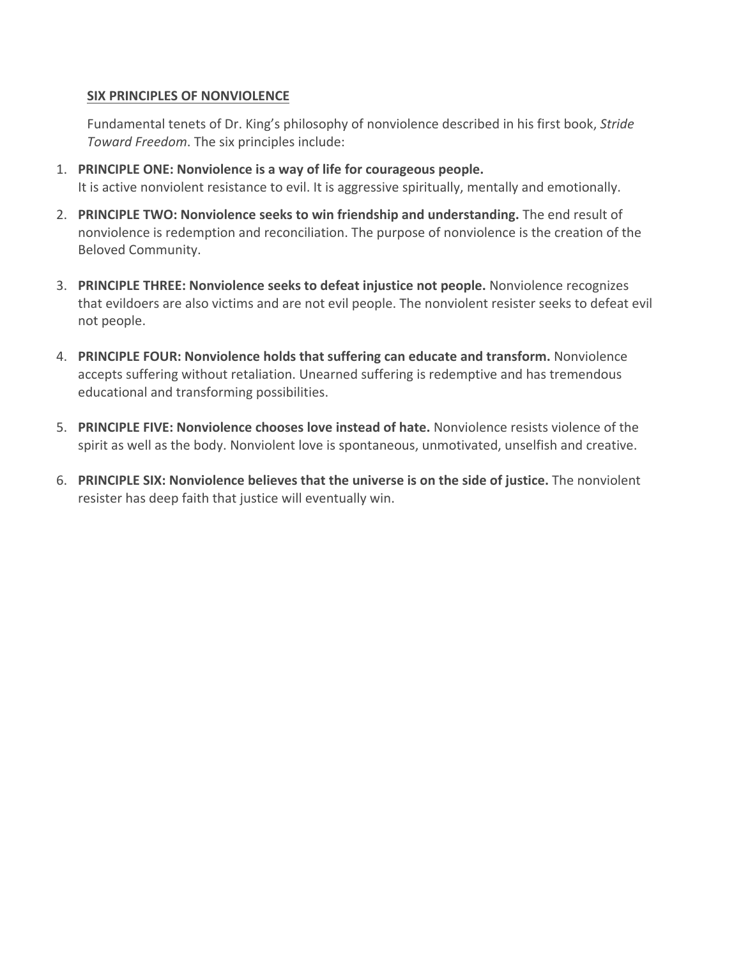#### **SIX PRINCIPLES OF NONVIOLENCE**

Fundamental tenets of Dr. King's philosophy of nonviolence described in his first book, *Stride Toward Freedom*. The six principles include:

- 1. **PRINCIPLE ONE: Nonviolence is a way of life for courageous people.** It is active nonviolent resistance to evil. It is aggressive spiritually, mentally and emotionally.
- 2. **PRINCIPLE TWO: Nonviolence seeks to win friendship and understanding.** The end result of nonviolence is redemption and reconciliation. The purpose of nonviolence is the creation of the Beloved Community.
- 3. **PRINCIPLE THREE: Nonviolence seeks to defeat injustice not people.** Nonviolence recognizes that evildoers are also victims and are not evil people. The nonviolent resister seeks to defeat evil not people.
- 4. **PRINCIPLE FOUR: Nonviolence holds that suffering can educate and transform.** Nonviolence accepts suffering without retaliation. Unearned suffering is redemptive and has tremendous educational and transforming possibilities.
- 5. **PRINCIPLE FIVE: Nonviolence chooses love instead of hate.** Nonviolence resists violence of the spirit as well as the body. Nonviolent love is spontaneous, unmotivated, unselfish and creative.
- 6. **PRINCIPLE SIX: Nonviolence believes that the universe is on the side of justice.** The nonviolent resister has deep faith that justice will eventually win.